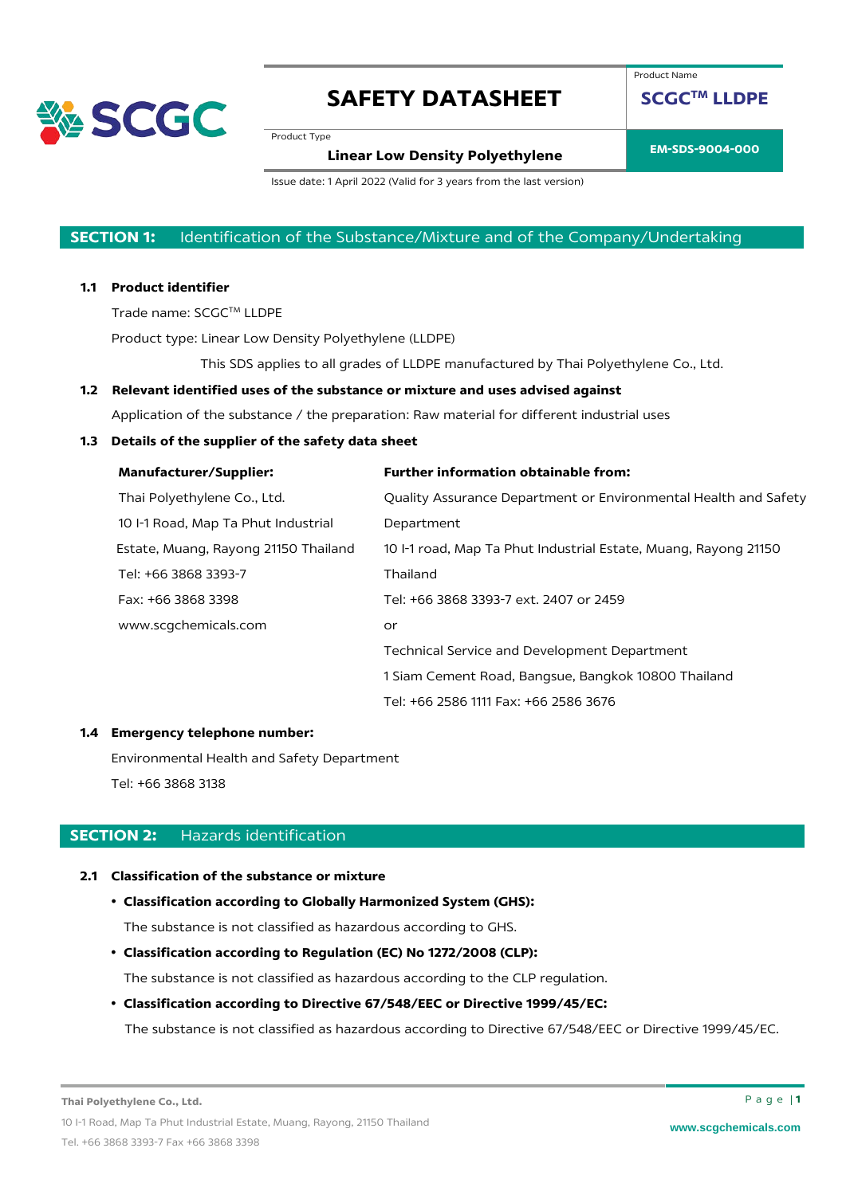

Product Name

**SCGCTM LLDPE**

Product Type

**EM-SDS-9004-000 Linear Low Density Polyethylene**

Issue date: 1 April 2022 (Valid for 3 years from the last version)

### **SECTION 1:** Identification of the Substance/Mixture and of the Company/Undertaking

#### **1.1 Product identifier**

Trade name: SCGC™ LLDPE

Product type: Linear Low Density Polyethylene (LLDPE)

This SDS applies to all grades of LLDPE manufactured by Thai Polyethylene Co., Ltd.

#### **1.2 Relevant identified uses of the substance or mixture and uses advised against**

Application of the substance / the preparation: Raw material for different industrial uses

### **1.3 Details of the supplier of the safety data sheet**

| <b>Manufacturer/Supplier:</b>        | <b>Further information obtainable from:</b>                     |
|--------------------------------------|-----------------------------------------------------------------|
| Thai Polyethylene Co., Ltd.          | Quality Assurance Department or Environmental Health and Safety |
| 10 I-1 Road, Map Ta Phut Industrial  | Department                                                      |
| Estate, Muang, Rayong 21150 Thailand | 10 I-1 road, Map Ta Phut Industrial Estate, Muang, Rayong 21150 |
| Tel: +66 3868 3393-7                 | Thailand                                                        |
| Fax: +66 3868 3398                   | Tel: +66 3868 3393-7 ext. 2407 or 2459                          |
| www.scqchemicals.com                 | or                                                              |
|                                      | Technical Service and Development Department                    |
|                                      | 1 Siam Cement Road, Bangsue, Bangkok 10800 Thailand             |
|                                      | Tel: +66 2586 1111 Fax: +66 2586 3676                           |

#### **1.4 Emergency telephone number:**

Environmental Health and Safety Department Tel: +66 3868 3138

### **SECTION 2:** Hazards identification

#### **2.1 Classification of the substance or mixture**

### • **Classification according to Globally Harmonized System (GHS):**

The substance is not classified as hazardous according to GHS.

• **Classification according to Regulation (EC) No 1272/2008 (CLP):**

The substance is not classified as hazardous according to the CLP regulation.

#### • **Classification according to Directive 67/548/EEC or Directive 1999/45/EC:**

The substance is not classified as hazardous according to Directive 67/548/EEC or Directive 1999/45/EC.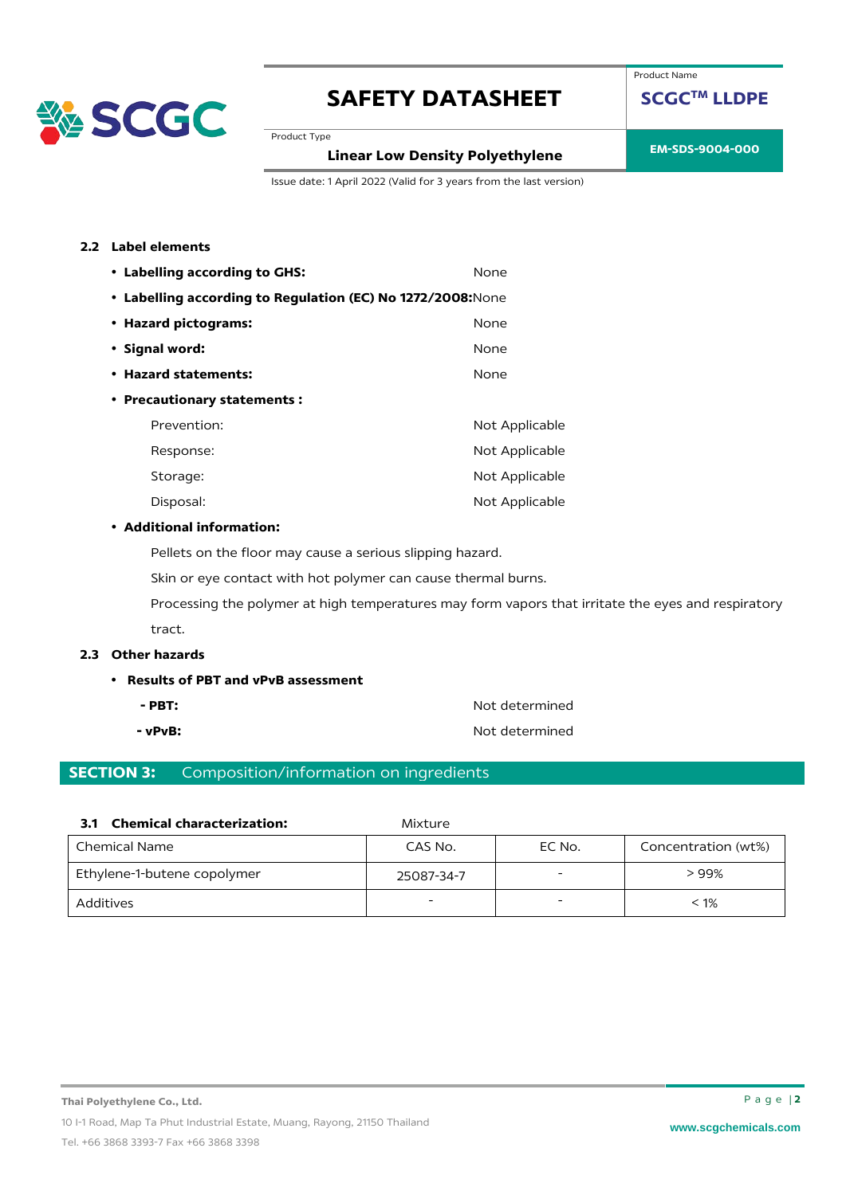

Product Name

**SCGCTM LLDPE**

Product Type

## **EM-SDS-9004-000 Linear Low Density Polyethylene**

Issue date: 1 April 2022 (Valid for 3 years from the last version)

### **2.2 Label elements**

| • Labelling according to GHS:                               | None           |
|-------------------------------------------------------------|----------------|
| • Labelling according to Regulation (EC) No 1272/2008: None |                |
| • Hazard pictograms:                                        | None           |
| • Signal word:                                              | None           |
| • Hazard statements:                                        | None           |
| • Precautionary statements:                                 |                |
| Prevention:                                                 | Not Applicable |
| Response:                                                   | Not Applicable |
| Storage:                                                    | Not Applicable |
| Disposal:                                                   | Not Applicable |

#### • **Additional information:**

Pellets on the floor may cause a serious slipping hazard.

Skin or eye contact with hot polymer can cause thermal burns.

Processing the polymer at high temperatures may form vapors that irritate the eyes and respiratory tract.

#### **2.3 Other hazards**

- **Results of PBT and vPvB assessment**
	-
	-

**- PBT:** Not determined **- vPvB:**  $\bullet$  **Not determined** 

### **SECTION 3:** Composition/information on ingredients

| l Chemical Name             | CAS No.    | EC No. | Concentration (wt%) |
|-----------------------------|------------|--------|---------------------|
| Ethylene-1-butene copolymer | 25087-34-7 |        | > 99%               |
| Additives                   | -          | -      | $< 1\%$             |

**3.1 Chemical characterization:** Mixture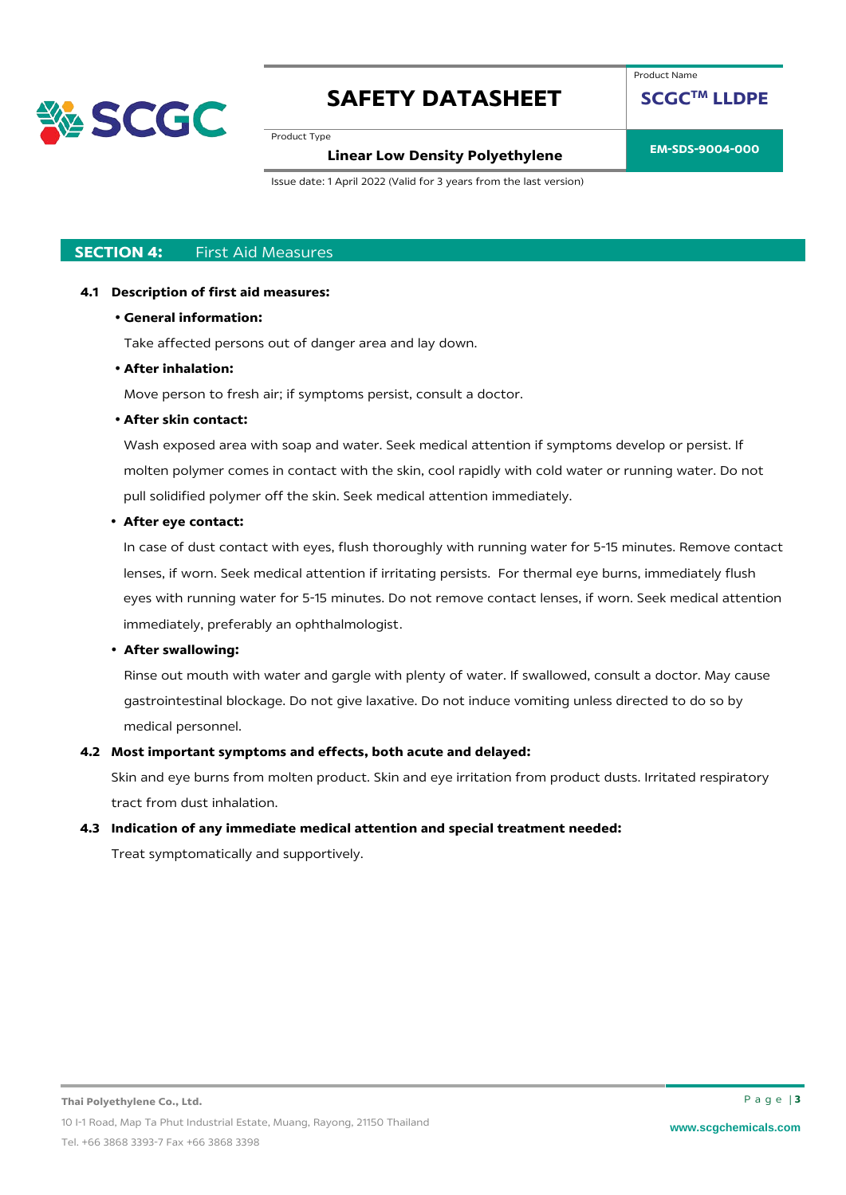

Product Type

### **EM-SDS-9004-000 Linear Low Density Polyethylene**

Product Name

**SCGCTM LLDPE**

Issue date: 1 April 2022 (Valid for 3 years from the last version)

### **SECTION 4:** First Aid Measures

#### **4.1 Description of first aid measures:**

#### • **General information:**

Take affected persons out of danger area and lay down.

#### • **After inhalation:**

Move person to fresh air; if symptoms persist, consult a doctor.

#### • **After skin contact:**

Wash exposed area with soap and water. Seek medical attention if symptoms develop or persist. If molten polymer comes in contact with the skin, cool rapidly with cold water or running water. Do not pull solidified polymer off the skin. Seek medical attention immediately.

#### • **After eye contact:**

In case of dust contact with eyes, flush thoroughly with running water for 5-15 minutes. Remove contact lenses, if worn. Seek medical attention if irritating persists. For thermal eye burns, immediately flush eyes with running water for 5-15 minutes. Do not remove contact lenses, if worn. Seek medical attention immediately, preferably an ophthalmologist.

#### • **After swallowing:**

Rinse out mouth with water and gargle with plenty of water. If swallowed, consult a doctor. May cause gastrointestinal blockage. Do not give laxative. Do not induce vomiting unless directed to do so by medical personnel.

#### **4.2 Most important symptoms and effects, both acute and delayed:**

Skin and eye burns from molten product. Skin and eye irritation from product dusts. Irritated respiratory tract from dust inhalation.

#### **4.3 Indication of any immediate medical attention and special treatment needed:**

Treat symptomatically and supportively.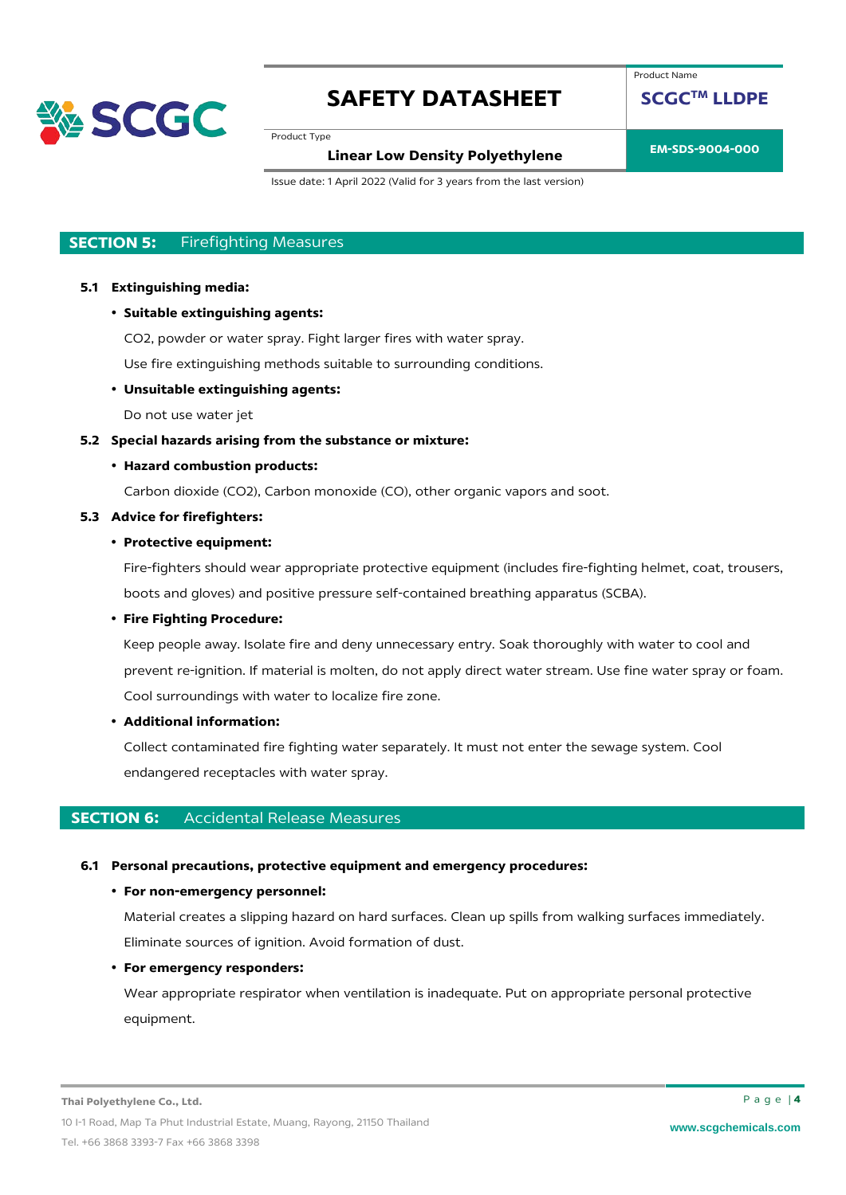

Product Type

# **EM-SDS-9004-000 Linear Low Density Polyethylene**

Product Name

**SCGCTM LLDPE**

Issue date: 1 April 2022 (Valid for 3 years from the last version)

### **SECTION 5:** Firefighting Measures

#### **5.1 Extinguishing media:**

• **Suitable extinguishing agents:**

CO2, powder or water spray. Fight larger fires with water spray.

Use fire extinguishing methods suitable to surrounding conditions.

#### • **Unsuitable extinguishing agents:**

Do not use water jet

#### **5.2 Special hazards arising from the substance or mixture:**

#### • **Hazard combustion products:**

Carbon dioxide (CO2), Carbon monoxide (CO), other organic vapors and soot.

#### **5.3 Advice for firefighters:**

### • **Protective equipment:**

Fire-fighters should wear appropriate protective equipment (includes fire-fighting helmet, coat, trousers, boots and gloves) and positive pressure self-contained breathing apparatus (SCBA).

#### • **Fire Fighting Procedure:**

Keep people away. Isolate fire and deny unnecessary entry. Soak thoroughly with water to cool and prevent re-ignition. If material is molten, do not apply direct water stream. Use fine water spray or foam. Cool surroundings with water to localize fire zone.

#### • **Additional information:**

Collect contaminated fire fighting water separately. It must not enter the sewage system. Cool endangered receptacles with water spray.

#### **SECTION 6:** Accidental Release Measures

#### **6.1 Personal precautions, protective equipment and emergency procedures:**

#### • **For non-emergency personnel:**

Material creates a slipping hazard on hard surfaces. Clean up spills from walking surfaces immediately. Eliminate sources of ignition. Avoid formation of dust.

#### • **For emergency responders:**

Wear appropriate respirator when ventilation is inadequate. Put on appropriate personal protective equipment.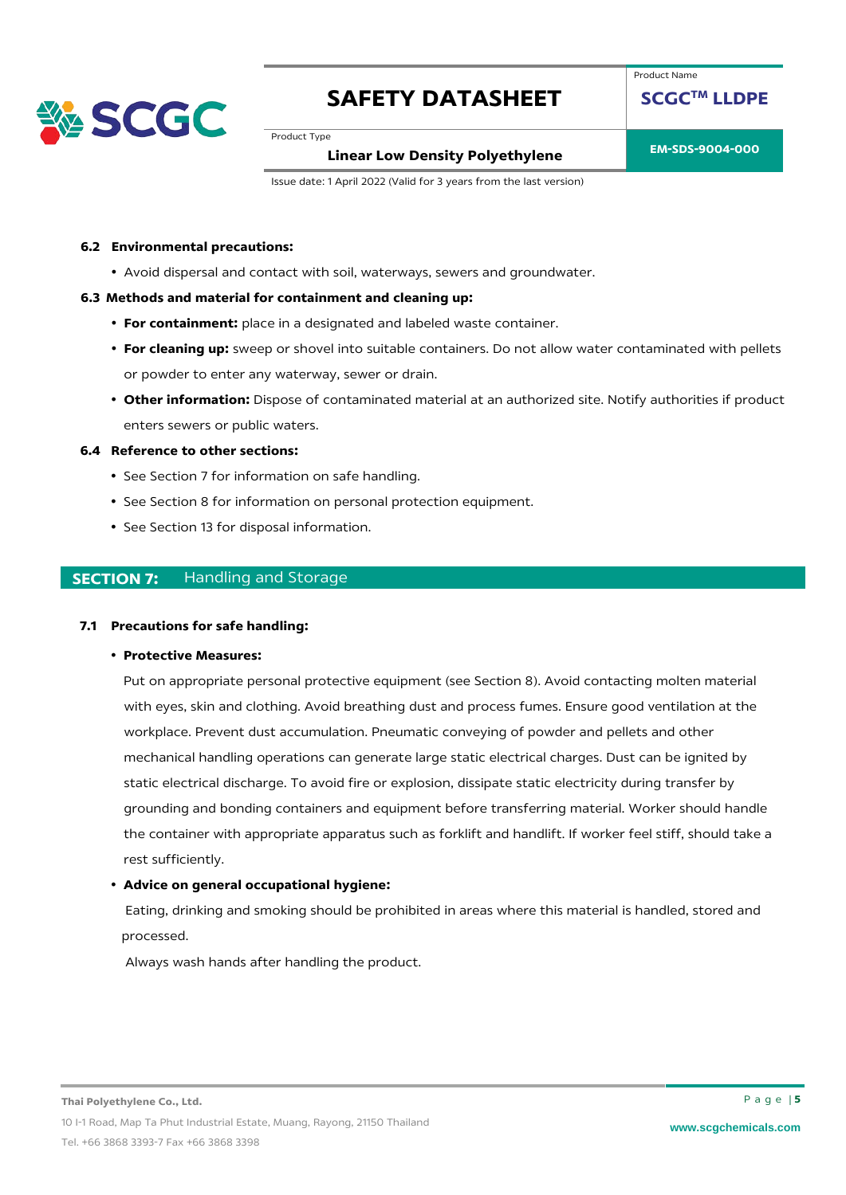

Product Name

**SCGCTM LLDPE**

Product Type

**EM-SDS-9004-000 Linear Low Density Polyethylene**

Issue date: 1 April 2022 (Valid for 3 years from the last version)

#### **6.2 Environmental precautions:**

• Avoid dispersal and contact with soil, waterways, sewers and groundwater.

#### **6.3 Methods and material for containment and cleaning up:**

- **For containment:** place in a designated and labeled waste container.
- **For cleaning up:** sweep or shovel into suitable containers. Do not allow water contaminated with pellets or powder to enter any waterway, sewer or drain.
- **Other information:** Dispose of contaminated material at an authorized site. Notify authorities if product enters sewers or public waters.

#### **6.4 Reference to other sections:**

- See Section 7 for information on safe handling.
- See Section 8 for information on personal protection equipment.
- See Section 13 for disposal information.

### **SECTION 7:** Handling and Storage

#### **7.1 Precautions for safe handling:**

• **Protective Measures:** 

Put on appropriate personal protective equipment (see Section 8). Avoid contacting molten material with eyes, skin and clothing. Avoid breathing dust and process fumes. Ensure good ventilation at the workplace. Prevent dust accumulation. Pneumatic conveying of powder and pellets and other mechanical handling operations can generate large static electrical charges. Dust can be ignited by static electrical discharge. To avoid fire or explosion, dissipate static electricity during transfer by grounding and bonding containers and equipment before transferring material. Worker should handle the container with appropriate apparatus such as forklift and handlift. If worker feel stiff, should take a rest sufficiently.

#### • **Advice on general occupational hygiene:**

Eating, drinking and smoking should be prohibited in areas where this material is handled, stored and processed.

Always wash hands after handling the product.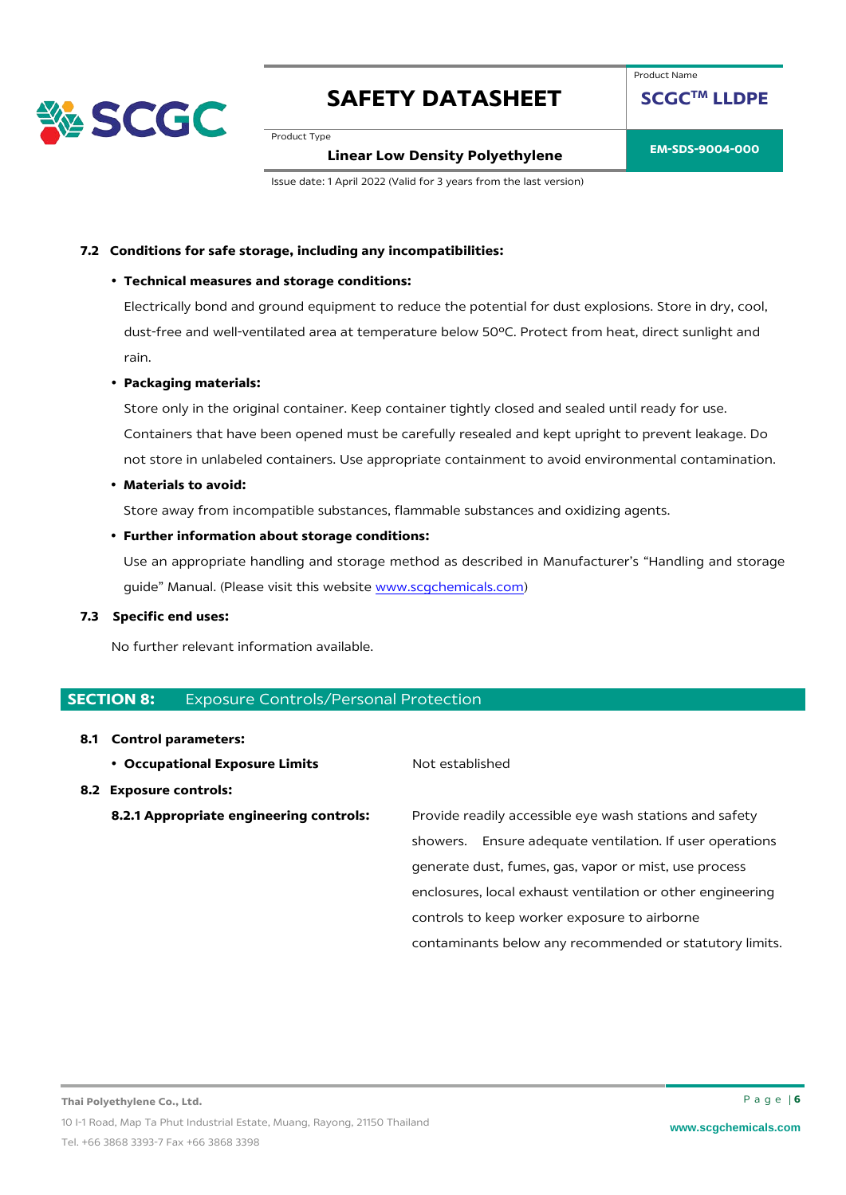

Product Name

**SCGCTM LLDPE**

Product Type

**EM-SDS-9004-000 Linear Low Density Polyethylene**

Issue date: 1 April 2022 (Valid for 3 years from the last version)

#### **7.2 Conditions for safe storage, including any incompatibilities:**

#### • **Technical measures and storage conditions:**

Electrically bond and ground equipment to reduce the potential for dust explosions. Store in dry, cool, dust-free and well-ventilated area at temperature below 50ºC. Protect from heat, direct sunlight and rain.

#### • **Packaging materials:**

Store only in the original container. Keep container tightly closed and sealed until ready for use. Containers that have been opened must be carefully resealed and kept upright to prevent leakage. Do not store in unlabeled containers. Use appropriate containment to avoid environmental contamination.

#### • **Materials to avoid:**

Store away from incompatible substances, flammable substances and oxidizing agents.

#### • **Further information about storage conditions:**

Use an appropriate handling and storage method as described in Manufacturer's "Handling and storage guide" Manual. (Please visit this website [www.scgchemicals.com\)](http://www.scgchemicals.com/)

#### **7.3 Specific end uses:**

No further relevant information available.

#### **SECTION 8: Exposure Controls/Personal Protection**

#### **8.1 Control parameters:**

**• Occupational Exposure Limits** Not established

#### **8.2 Exposure controls:**

**8.2.1 Appropriate engineering controls:** Provide readily accessible eye wash stations and safety showers. Ensure adequate ventilation. If user operations generate dust, fumes, gas, vapor or mist, use process enclosures, local exhaust ventilation or other engineering controls to keep worker exposure to airborne contaminants below any recommended or statutory limits.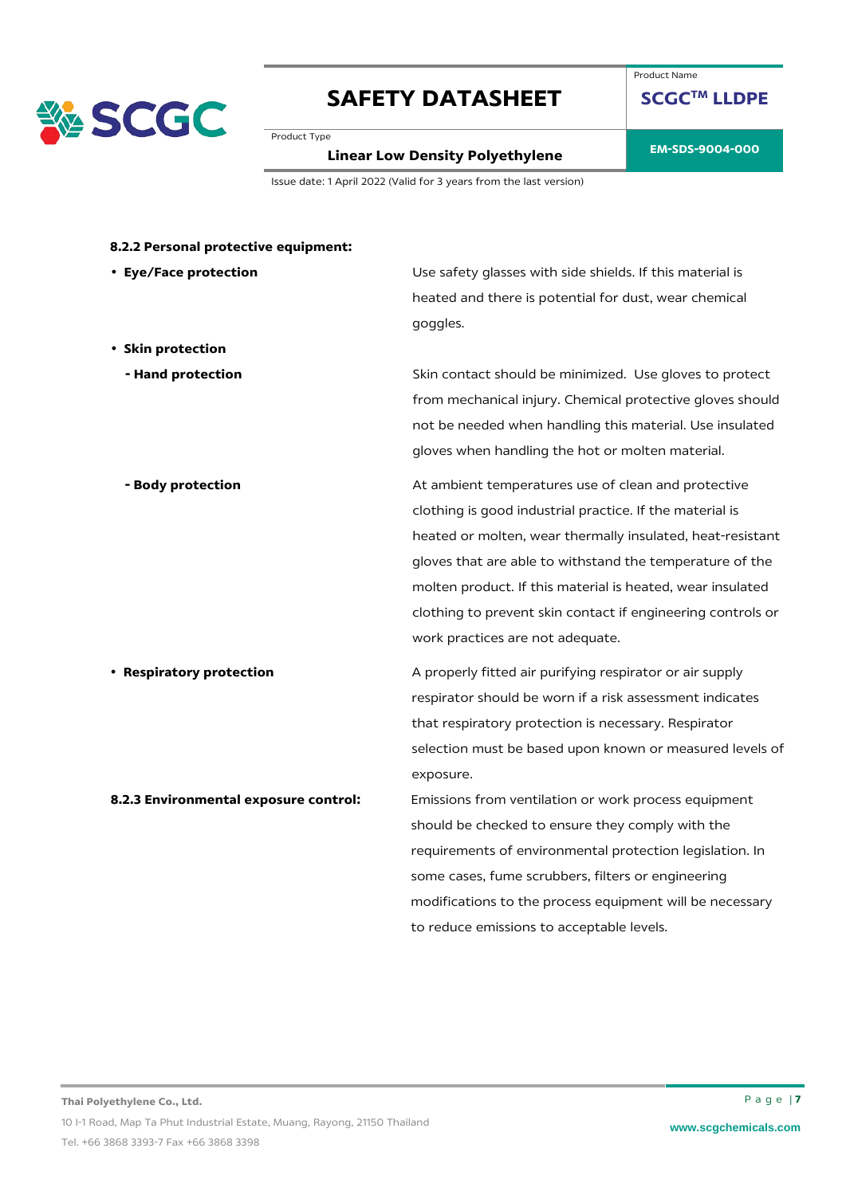

Product Name

**SCGCTM LLDPE**

Product Type

# **EM-SDS-9004-000 Linear Low Density Polyethylene**

Issue date: 1 April 2022 (Valid for 3 years from the last version)

| Use safety glasses with side shields. If this material is   |
|-------------------------------------------------------------|
| heated and there is potential for dust, wear chemical       |
| goggles.                                                    |
|                                                             |
| Skin contact should be minimized. Use gloves to protect     |
| from mechanical injury. Chemical protective gloves should   |
| not be needed when handling this material. Use insulated    |
| gloves when handling the hot or molten material.            |
| At ambient temperatures use of clean and protective         |
| clothing is good industrial practice. If the material is    |
| heated or molten, wear thermally insulated, heat-resistant  |
| gloves that are able to withstand the temperature of the    |
| molten product. If this material is heated, wear insulated  |
| clothing to prevent skin contact if engineering controls or |
| work practices are not adequate.                            |
| A properly fitted air purifying respirator or air supply    |
| respirator should be worn if a risk assessment indicates    |
| that respiratory protection is necessary. Respirator        |
| selection must be based upon known or measured levels of    |
| exposure.                                                   |
| Emissions from ventilation or work process equipment        |
| should be checked to ensure they comply with the            |
| requirements of environmental protection legislation. In    |
| some cases, fume scrubbers, filters or engineering          |
| modifications to the process equipment will be necessary    |
| to reduce emissions to acceptable levels.                   |
|                                                             |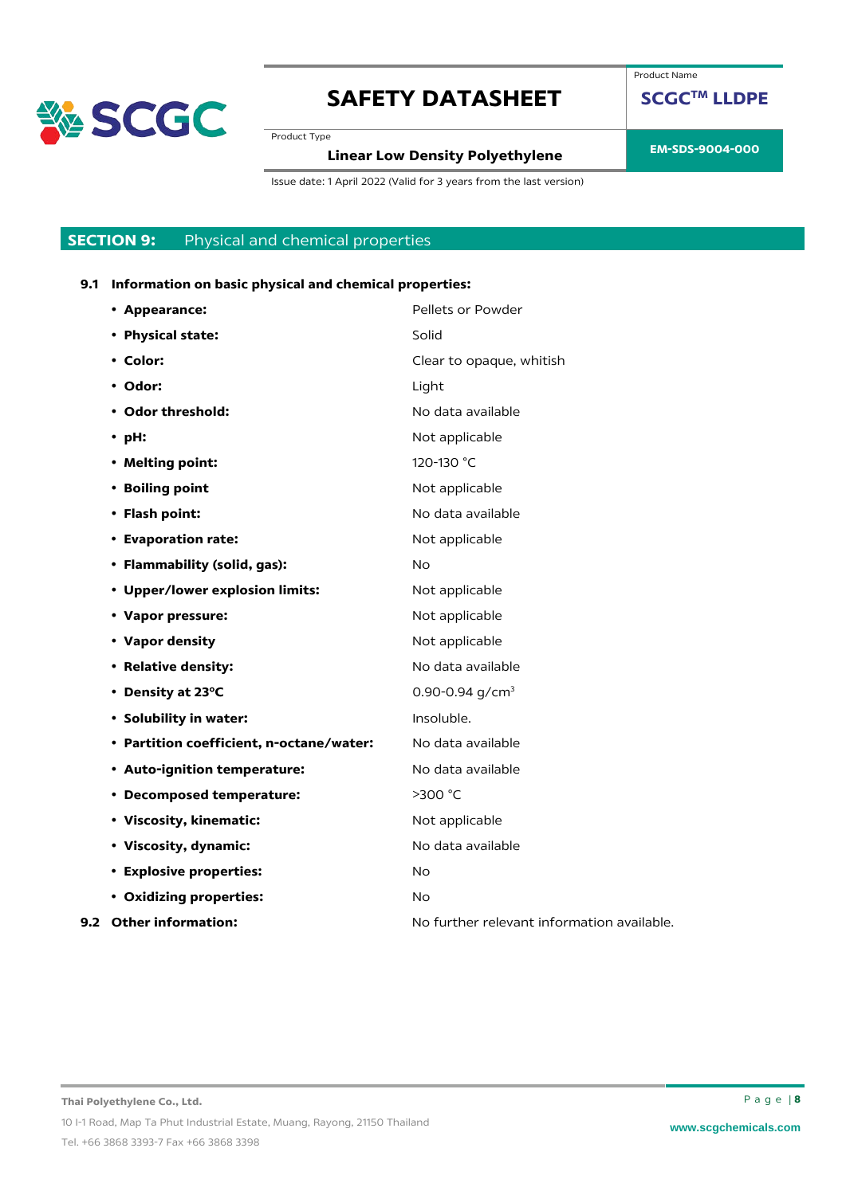

Product Name

**SCGCTM LLDPE**

Product Type

# **EM-SDS-9004-000 Linear Low Density Polyethylene**

Issue date: 1 April 2022 (Valid for 3 years from the last version)

### **SECTION 9:** Physical and chemical properties

### **9.1 Information on basic physical and chemical properties:**

| • Appearance:                            | Pellets or Powder                          |
|------------------------------------------|--------------------------------------------|
| • Physical state:                        | Solid                                      |
| • Color:                                 | Clear to opaque, whitish                   |
| • Odor:                                  | Light                                      |
| • Odor threshold:                        | No data available                          |
| $\cdot$ pH:                              | Not applicable                             |
| • Melting point:                         | 120-130 °C                                 |
| • Boiling point                          | Not applicable                             |
| • Flash point:                           | No data available                          |
| • Evaporation rate:                      | Not applicable                             |
| • Flammability (solid, gas):             | No.                                        |
| • Upper/lower explosion limits:          | Not applicable                             |
| • Vapor pressure:                        | Not applicable                             |
| • Vapor density                          | Not applicable                             |
| • Relative density:                      | No data available                          |
| • Density at 23°C                        | 0.90-0.94 $q/cm3$                          |
| • Solubility in water:                   | Insoluble.                                 |
| • Partition coefficient, n-octane/water: | No data available                          |
| • Auto-ignition temperature:             | No data available                          |
| • Decomposed temperature:                | >300 °C                                    |
| • Viscosity, kinematic:                  | Not applicable                             |
| • Viscosity, dynamic:                    | No data available                          |
| <b>• Explosive properties:</b>           | <b>No</b>                                  |
| • Oxidizing properties:                  | No                                         |
| 9.2 Other information:                   | No further relevant information available. |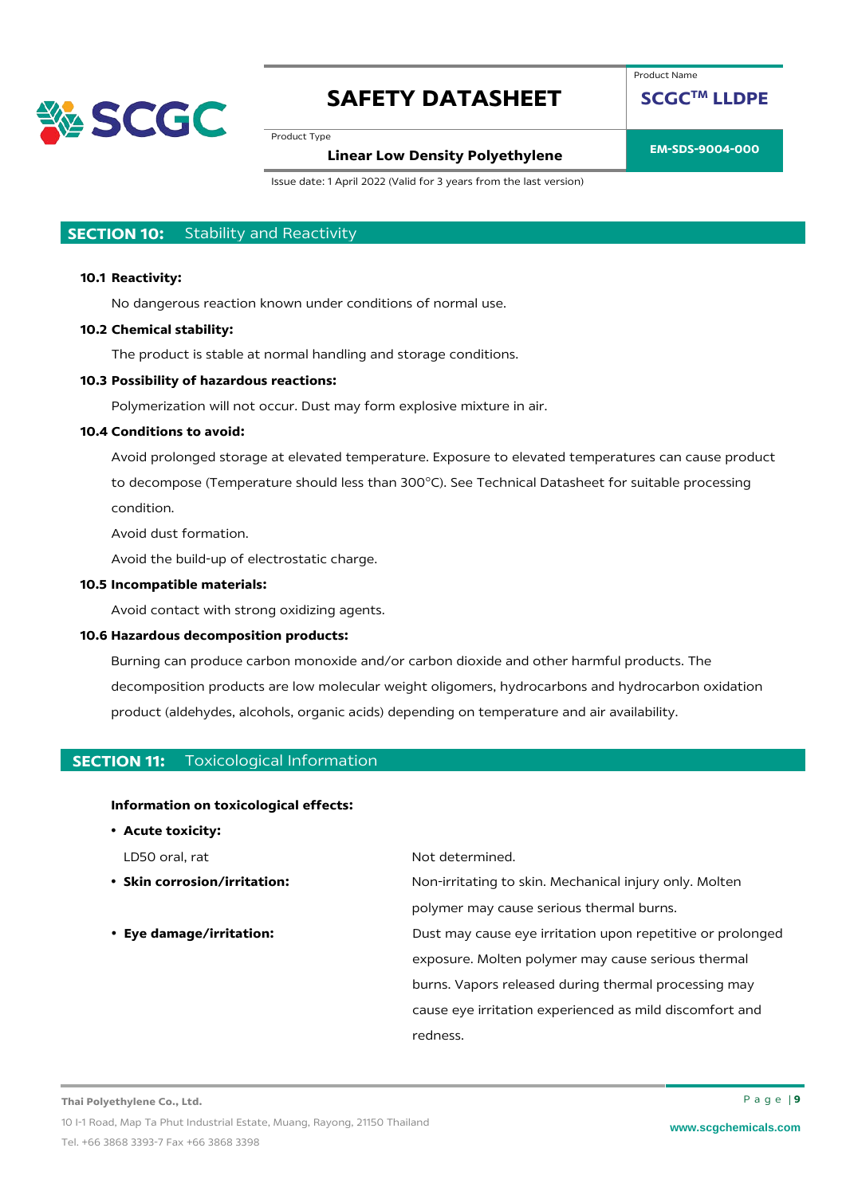

Product Name

**SCGCTM LLDPE**

Product Type

## **EM-SDS-9004-000 Linear Low Density Polyethylene**

Issue date: 1 April 2022 (Valid for 3 years from the last version)

### **SECTION 10:** Stability and Reactivity

#### **10.1 Reactivity:**

No dangerous reaction known under conditions of normal use.

#### **10.2 Chemical stability:**

The product is stable at normal handling and storage conditions.

#### **10.3 Possibility of hazardous reactions:**

Polymerization will not occur. Dust may form explosive mixture in air.

#### **10.4 Conditions to avoid:**

Avoid prolonged storage at elevated temperature. Exposure to elevated temperatures can cause product to decompose (Temperature should less than 300°C). See Technical Datasheet for suitable processing condition.

Avoid dust formation.

Avoid the build-up of electrostatic charge.

#### **10.5 Incompatible materials:**

Avoid contact with strong oxidizing agents.

#### **10.6 Hazardous decomposition products:**

Burning can produce carbon monoxide and/or carbon dioxide and other harmful products. The decomposition products are low molecular weight oligomers, hydrocarbons and hydrocarbon oxidation product (aldehydes, alcohols, organic acids) depending on temperature and air availability.

#### **SECTION 11:** Toxicological Information

#### **Information on toxicological effects:**

• **Acute toxicity:**

- 
- 

LD50 oral, rat Not determined.

• **Skin corrosion/irritation:** Non-irritating to skin. Mechanical injury only. Molten polymer may cause serious thermal burns.

• **Eye damage/irritation:** Dust may cause eye irritation upon repetitive or prolonged exposure. Molten polymer may cause serious thermal burns. Vapors released during thermal processing may cause eye irritation experienced as mild discomfort and redness.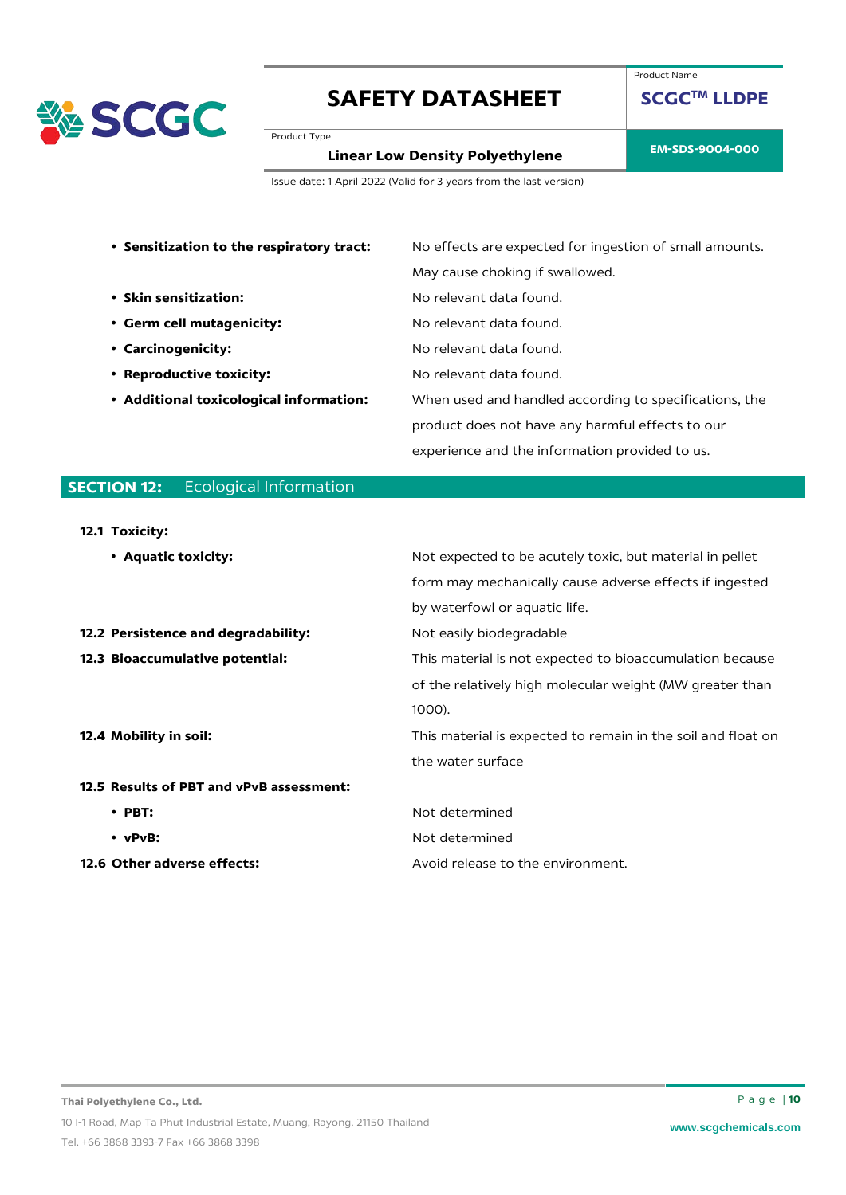

Product Name

**SCGCTM LLDPE**

Product Type

**EM-SDS-9004-000 Linear Low Density Polyethylene**

Issue date: 1 April 2022 (Valid for 3 years from the last version)

| • Sensitization to the respiratory tract:  | No effects are expected for ingestion of small amounts. |
|--------------------------------------------|---------------------------------------------------------|
|                                            | May cause choking if swallowed.                         |
| • Skin sensitization:                      | No relevant data found.                                 |
| • Germ cell mutagenicity:                  | No relevant data found.                                 |
| • Carcinogenicity:                         | No relevant data found.                                 |
| <b>Reproductive toxicity:</b><br>$\bullet$ | No relevant data found.                                 |
| • Additional toxicological information:    | When used and handled according to specifications, the  |
|                                            | product does not have any harmful effects to our        |
|                                            | experience and the information provided to us.          |
|                                            |                                                         |

### **SECTION 12:** Ecological Information

#### **12.1 Toxicity:**

| • Aquatic toxicity:                      | Not expected to be acutely toxic, but material in pellet     |
|------------------------------------------|--------------------------------------------------------------|
|                                          | form may mechanically cause adverse effects if ingested      |
|                                          | by waterfowl or aquatic life.                                |
| 12.2 Persistence and degradability:      | Not easily biodegradable                                     |
| 12.3 Bioaccumulative potential:          | This material is not expected to bioaccumulation because     |
|                                          | of the relatively high molecular weight (MW greater than     |
|                                          | $1000$ ).                                                    |
| 12.4 Mobility in soil:                   | This material is expected to remain in the soil and float on |
|                                          | the water surface                                            |
| 12.5 Results of PBT and vPvB assessment: |                                                              |
| $\cdot$ PBT:                             | Not determined                                               |
| $\cdot$ vPvB:                            | Not determined                                               |
| 12.6 Other adverse effects:              | Avoid release to the environment.                            |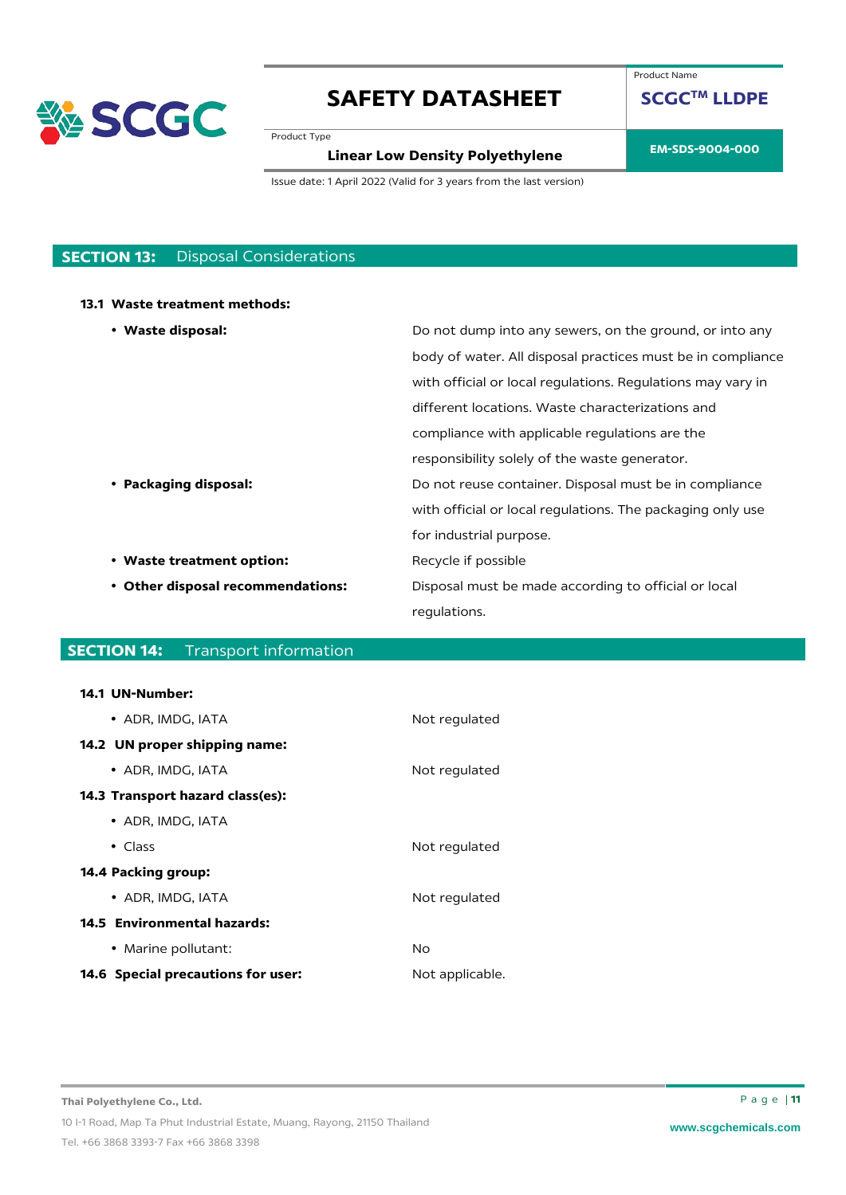

Product Type

# **EM-SDS-9004-000 Linear Low Density Polyethylene**

**SCGCTM LLDPE**

Product Name

Issue date: 1 April 2022 (Valid for 3 years from the last version)

### **SECTION 13:** Disposal Considerations

#### **13.1 Waste treatment methods:**

| • Waste disposal:                 | Do not dump into any sewers, on the ground, or into any     |
|-----------------------------------|-------------------------------------------------------------|
|                                   | body of water. All disposal practices must be in compliance |
|                                   | with official or local regulations. Regulations may vary in |
|                                   | different locations. Waste characterizations and            |
|                                   | compliance with applicable regulations are the              |
|                                   | responsibility solely of the waste generator.               |
| • Packaging disposal:             | Do not reuse container. Disposal must be in compliance      |
|                                   | with official or local regulations. The packaging only use  |
|                                   | for industrial purpose.                                     |
| • Waste treatment option:         | Recycle if possible                                         |
| • Other disposal recommendations: | Disposal must be made according to official or local        |
|                                   | regulations.                                                |

### **SECTION 14:** Transport information

#### **14.1 UN-Number:**

| • ADR. IMDG. IATA                         | Not regulated   |
|-------------------------------------------|-----------------|
| 14.2 UN proper shipping name:             |                 |
| • ADR, IMDG, IATA                         | Not regulated   |
| <b>14.3 Transport hazard class(es):</b>   |                 |
| • ADR, IMDG, IATA                         |                 |
| $\bullet$ Class                           | Not regulated   |
| 14.4 Packing group:                       |                 |
| • ADR, IMDG, IATA                         | Not regulated   |
| 14.5 Environmental hazards:               |                 |
| • Marine pollutant:                       | No.             |
| <b>14.6 Special precautions for user:</b> | Not applicable. |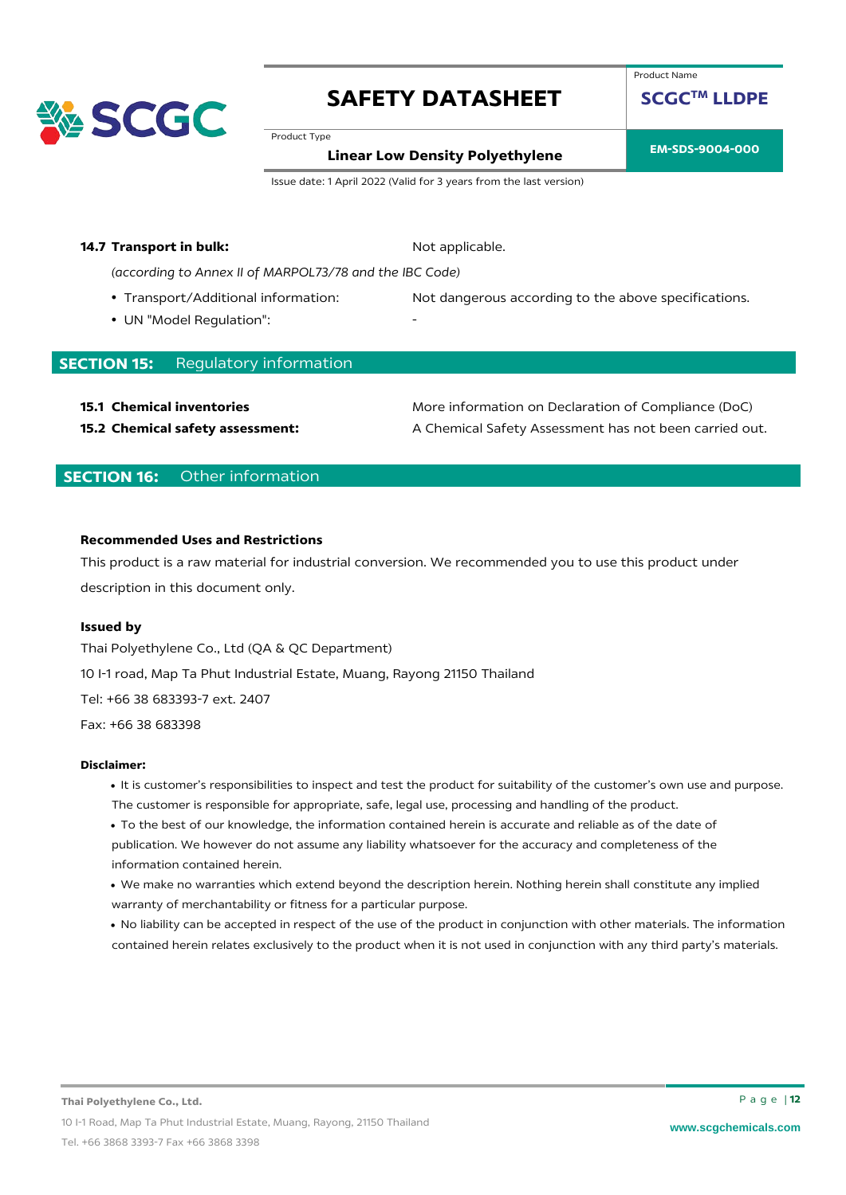

Product Name

**SCGCTM LLDPE**

Product Type

### **EM-SDS-9004-000 Linear Low Density Polyethylene**

Issue date: 1 April 2022 (Valid for 3 years from the last version)

#### **14.7 Transport in bulk:** Not applicable.

*(according to Annex II of MARPOL73/78 and the IBC Code)*

- 
- UN "Model Regulation":

• Transport/Additional information: Not dangerous according to the above specifications.

### **SECTION 15:** Regulatory information

**15.1 Chemical inventories 15.1 Chemical inventories** More information on Declaration of Compliance (DoC) **15.2 Chemical safety assessment:** A Chemical Safety Assessment has not been carried out.

### **SECTION 16:** Other information

#### **Recommended Uses and Restrictions**

This product is a raw material for industrial conversion. We recommended you to use this product under description in this document only.

#### **Issued by**

Thai Polyethylene Co., Ltd (QA & QC Department) 10 I-1 road, Map Ta Phut Industrial Estate, Muang, Rayong 21150 Thailand Tel: +66 38 683393-7 ext. 2407 Fax: +66 38 683398

#### **Disclaimer:**

- It is customer's responsibilities to inspect and test the product for suitability of the customer's own use and purpose. The customer is responsible for appropriate, safe, legal use, processing and handling of the product.
- To the best of our knowledge, the information contained herein is accurate and reliable as of the date of publication. We however do not assume any liability whatsoever for the accuracy and completeness of the information contained herein.
- We make no warranties which extend beyond the description herein. Nothing herein shall constitute any implied warranty of merchantability or fitness for a particular purpose.
- No liability can be accepted in respect of the use of the product in conjunction with other materials. The information contained herein relates exclusively to the product when it is not used in conjunction with any third party's materials.